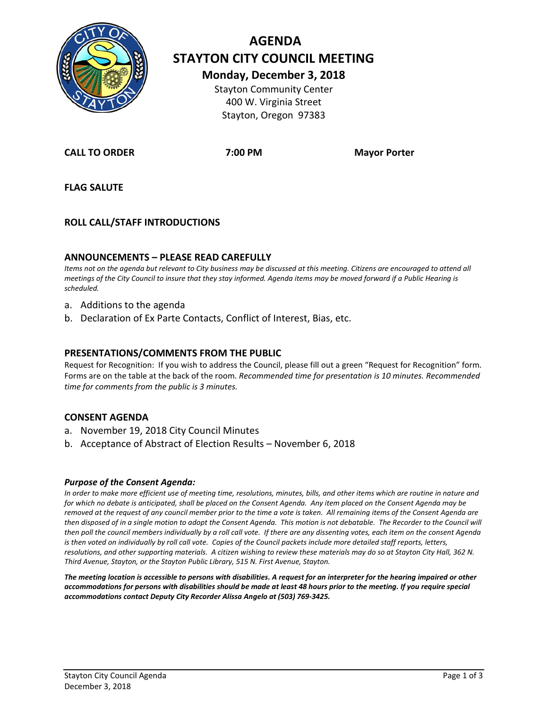

# **AGENDA STAYTON CITY COUNCIL MEETING Monday, December 3, 2018** Stayton Community Center

400 W. Virginia Street Stayton, Oregon 97383

**CALL TO ORDER 7:00 PM Mayor Porter**

**FLAG SALUTE**

# **ROLL CALL/STAFF INTRODUCTIONS**

#### **ANNOUNCEMENTS – PLEASE READ CAREFULLY**

*Items not on the agenda but relevant to City business may be discussed at this meeting. Citizens are encouraged to attend all meetings of the City Council to insure that they stay informed. Agenda items may be moved forward if a Public Hearing is scheduled.*

- a. Additions to the agenda
- b. Declaration of Ex Parte Contacts, Conflict of Interest, Bias, etc.

#### **PRESENTATIONS/COMMENTS FROM THE PUBLIC**

Request for Recognition: If you wish to address the Council, please fill out a green "Request for Recognition" form. Forms are on the table at the back of the room. *Recommended time for presentation is 10 minutes. Recommended time for comments from the public is 3 minutes.*

#### **CONSENT AGENDA**

- a. November 19, 2018 City Council Minutes
- b. Acceptance of Abstract of Election Results November 6, 2018

#### *Purpose of the Consent Agenda:*

*In order to make more efficient use of meeting time, resolutions, minutes, bills, and other items which are routine in nature and for which no debate is anticipated, shall be placed on the Consent Agenda. Any item placed on the Consent Agenda may be removed at the request of any council member prior to the time a vote is taken. All remaining items of the Consent Agenda are*  then disposed of in a single motion to adopt the Consent Agenda. This motion is not debatable. The Recorder to the Council will *then poll the council members individually by a roll call vote. If there are any dissenting votes, each item on the consent Agenda is then voted on individually by roll call vote. Copies of the Council packets include more detailed staff reports, letters, resolutions, and other supporting materials. A citizen wishing to review these materials may do so at Stayton City Hall, 362 N. Third Avenue, Stayton, or the Stayton Public Library, 515 N. First Avenue, Stayton.*

*The meeting location is accessible to persons with disabilities. A request for an interpreter for the hearing impaired or other accommodations for persons with disabilities should be made at least 48 hours prior to the meeting. If you require special accommodations contact Deputy City Recorder Alissa Angelo at (503) 769-3425.*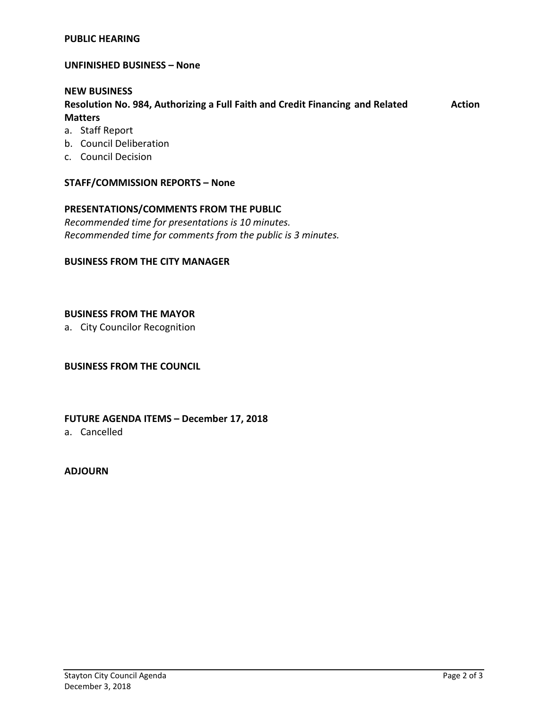#### **PUBLIC HEARING**

**UNFINISHED BUSINESS – None** 

#### **NEW BUSINESS**

**Resolution No. 984, Authorizing a Full Faith and Credit Financing and Related Action Matters**

- a. Staff Report
- b. Council Deliberation
- c. Council Decision

#### **STAFF/COMMISSION REPORTS – None**

# **PRESENTATIONS/COMMENTS FROM THE PUBLIC**

*Recommended time for presentations is 10 minutes. Recommended time for comments from the public is 3 minutes.*

#### **BUSINESS FROM THE CITY MANAGER**

#### **BUSINESS FROM THE MAYOR**

a. City Councilor Recognition

#### **BUSINESS FROM THE COUNCIL**

#### **FUTURE AGENDA ITEMS – December 17, 2018**

a. Cancelled

## **ADJOURN**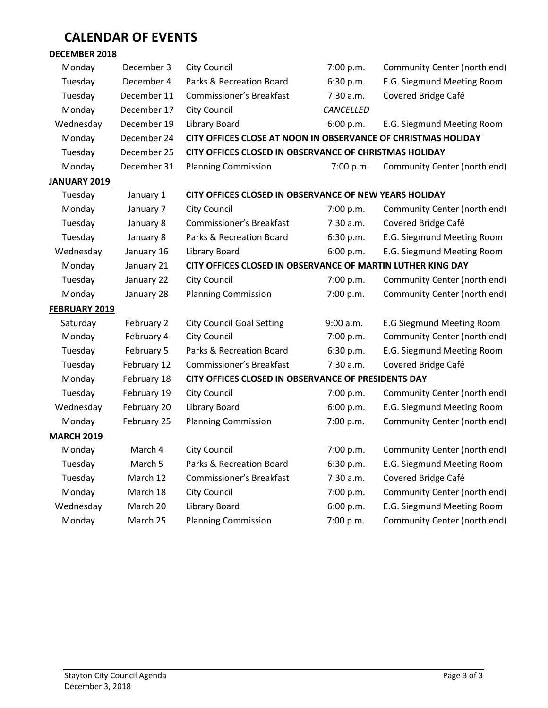# **CALENDAR OF EVENTS**

# **DECEMBER 2018**

| Monday              | December 3  | <b>City Council</b>                                           | 7:00 p.m. | Community Center (north end)     |
|---------------------|-------------|---------------------------------------------------------------|-----------|----------------------------------|
| Tuesday             | December 4  | Parks & Recreation Board                                      | 6:30 p.m. | E.G. Siegmund Meeting Room       |
| Tuesday             | December 11 | <b>Commissioner's Breakfast</b>                               | 7:30 a.m. | Covered Bridge Café              |
| Monday              | December 17 | <b>City Council</b>                                           | CANCELLED |                                  |
| Wednesday           | December 19 | Library Board                                                 | 6:00 p.m. | E.G. Siegmund Meeting Room       |
| Monday              | December 24 | CITY OFFICES CLOSE AT NOON IN OBSERVANCE OF CHRISTMAS HOLIDAY |           |                                  |
| Tuesday             | December 25 | CITY OFFICES CLOSED IN OBSERVANCE OF CHRISTMAS HOLIDAY        |           |                                  |
| Monday              | December 31 | <b>Planning Commission</b>                                    | 7:00 p.m. | Community Center (north end)     |
| <b>JANUARY 2019</b> |             |                                                               |           |                                  |
| Tuesday             | January 1   | CITY OFFICES CLOSED IN OBSERVANCE OF NEW YEARS HOLIDAY        |           |                                  |
| Monday              | January 7   | <b>City Council</b>                                           | 7:00 p.m. | Community Center (north end)     |
| Tuesday             | January 8   | <b>Commissioner's Breakfast</b>                               | 7:30 a.m. | Covered Bridge Café              |
| Tuesday             | January 8   | Parks & Recreation Board                                      | 6:30 p.m. | E.G. Siegmund Meeting Room       |
| Wednesday           | January 16  | Library Board                                                 | 6:00 p.m. | E.G. Siegmund Meeting Room       |
| Monday              | January 21  | CITY OFFICES CLOSED IN OBSERVANCE OF MARTIN LUTHER KING DAY   |           |                                  |
| Tuesday             | January 22  | <b>City Council</b>                                           | 7:00 p.m. | Community Center (north end)     |
| Monday              | January 28  | <b>Planning Commission</b>                                    | 7:00 p.m. | Community Center (north end)     |
| FEBRUARY 2019       |             |                                                               |           |                                  |
| Saturday            | February 2  | <b>City Council Goal Setting</b>                              | 9:00 a.m. | <b>E.G Siegmund Meeting Room</b> |
| Monday              | February 4  | <b>City Council</b>                                           | 7:00 p.m. | Community Center (north end)     |
| Tuesday             | February 5  | Parks & Recreation Board                                      | 6:30 p.m. | E.G. Siegmund Meeting Room       |
| Tuesday             | February 12 | <b>Commissioner's Breakfast</b>                               | 7:30 a.m. | Covered Bridge Café              |
| Monday              | February 18 | CITY OFFICES CLOSED IN OBSERVANCE OF PRESIDENTS DAY           |           |                                  |
| Tuesday             | February 19 | <b>City Council</b>                                           | 7:00 p.m. | Community Center (north end)     |
| Wednesday           | February 20 | Library Board                                                 | 6:00 p.m. | E.G. Siegmund Meeting Room       |
| Monday              | February 25 | <b>Planning Commission</b>                                    | 7:00 p.m. | Community Center (north end)     |
| <b>MARCH 2019</b>   |             |                                                               |           |                                  |
| Monday              | March 4     | <b>City Council</b>                                           | 7:00 p.m. | Community Center (north end)     |
| Tuesday             | March 5     | Parks & Recreation Board                                      | 6:30 p.m. | E.G. Siegmund Meeting Room       |
| Tuesday             | March 12    | <b>Commissioner's Breakfast</b>                               | 7:30 a.m. | Covered Bridge Café              |
| Monday              | March 18    | <b>City Council</b>                                           | 7:00 p.m. | Community Center (north end)     |
| Wednesday           | March 20    | Library Board                                                 | 6:00 p.m. | E.G. Siegmund Meeting Room       |
| Monday              | March 25    | <b>Planning Commission</b>                                    | 7:00 p.m. | Community Center (north end)     |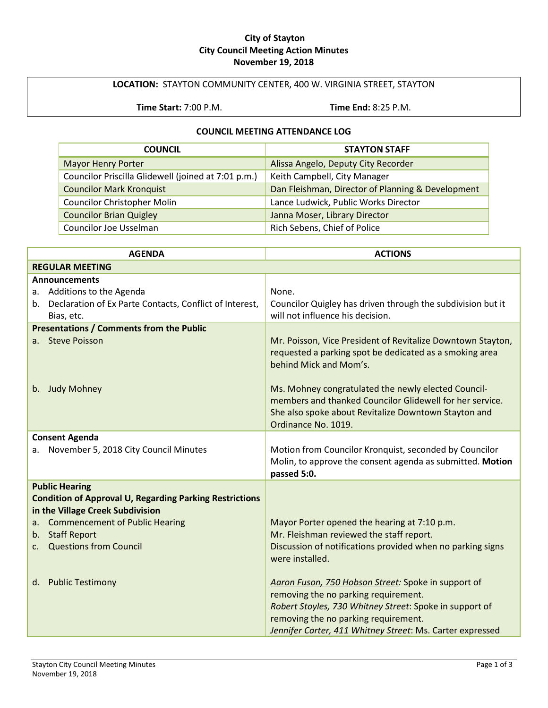#### **City of Stayton City Council Meeting Action Minutes November 19, 2018**

# **LOCATION:** STAYTON COMMUNITY CENTER, 400 W. VIRGINIA STREET, STAYTON

**Time Start:** 7:00 P.M. **Time End:** 8:25 P.M.

#### **COUNCIL MEETING ATTENDANCE LOG**

| <b>COUNCIL</b>                                      | <b>STAYTON STAFF</b>                              |
|-----------------------------------------------------|---------------------------------------------------|
| <b>Mayor Henry Porter</b>                           | Alissa Angelo, Deputy City Recorder               |
| Councilor Priscilla Glidewell (joined at 7:01 p.m.) | Keith Campbell, City Manager                      |
| <b>Councilor Mark Kronquist</b>                     | Dan Fleishman, Director of Planning & Development |
| <b>Councilor Christopher Molin</b>                  | Lance Ludwick, Public Works Director              |
| <b>Councilor Brian Quigley</b>                      | Janna Moser, Library Director                     |
| Councilor Joe Usselman                              | Rich Sebens, Chief of Police                      |

| <b>AGENDA</b>                                                                                                                     | <b>ACTIONS</b>                                                                                                                                                                                                                                                                      |
|-----------------------------------------------------------------------------------------------------------------------------------|-------------------------------------------------------------------------------------------------------------------------------------------------------------------------------------------------------------------------------------------------------------------------------------|
| <b>REGULAR MEETING</b>                                                                                                            |                                                                                                                                                                                                                                                                                     |
| <b>Announcements</b><br>Additions to the Agenda<br>а.<br>b. Declaration of Ex Parte Contacts, Conflict of Interest,<br>Bias, etc. | None.<br>Councilor Quigley has driven through the subdivision but it<br>will not influence his decision.                                                                                                                                                                            |
| <b>Presentations / Comments from the Public</b><br>a. Steve Poisson                                                               | Mr. Poisson, Vice President of Revitalize Downtown Stayton,                                                                                                                                                                                                                         |
| <b>Judy Mohney</b><br>b.                                                                                                          | requested a parking spot be dedicated as a smoking area<br>behind Mick and Mom's.<br>Ms. Mohney congratulated the newly elected Council-<br>members and thanked Councilor Glidewell for her service.<br>She also spoke about Revitalize Downtown Stayton and<br>Ordinance No. 1019. |
| <b>Consent Agenda</b>                                                                                                             |                                                                                                                                                                                                                                                                                     |
| November 5, 2018 City Council Minutes<br>а.                                                                                       | Motion from Councilor Kronquist, seconded by Councilor<br>Molin, to approve the consent agenda as submitted. Motion<br>passed 5:0.                                                                                                                                                  |
| <b>Public Hearing</b>                                                                                                             |                                                                                                                                                                                                                                                                                     |
| <b>Condition of Approval U, Regarding Parking Restrictions</b><br>in the Village Creek Subdivision                                |                                                                                                                                                                                                                                                                                     |
| <b>Commencement of Public Hearing</b><br>a.                                                                                       | Mayor Porter opened the hearing at 7:10 p.m.                                                                                                                                                                                                                                        |
| b. Staff Report                                                                                                                   | Mr. Fleishman reviewed the staff report.                                                                                                                                                                                                                                            |
| <b>Questions from Council</b><br>$\mathsf{C}$ .                                                                                   | Discussion of notifications provided when no parking signs<br>were installed.                                                                                                                                                                                                       |
| d. Public Testimony                                                                                                               | Aaron Fuson, 750 Hobson Street: Spoke in support of<br>removing the no parking requirement.<br>Robert Stoyles, 730 Whitney Street: Spoke in support of<br>removing the no parking requirement.                                                                                      |
|                                                                                                                                   | Jennifer Carter, 411 Whitney Street: Ms. Carter expressed                                                                                                                                                                                                                           |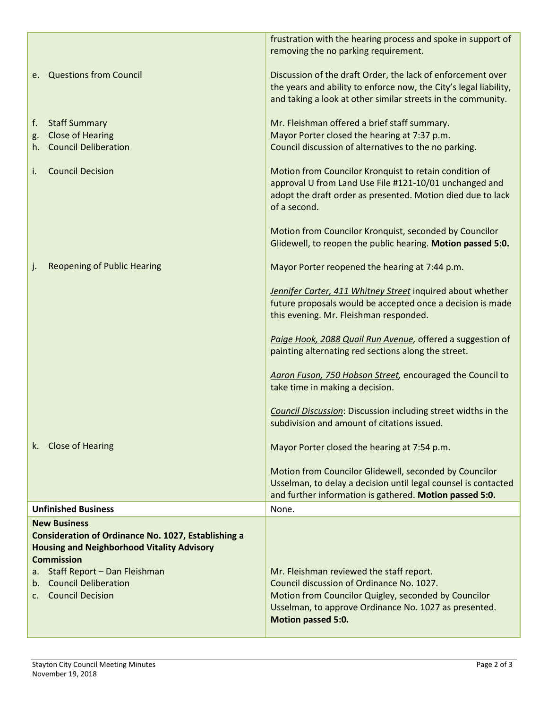|                                                                                                                                                                                                                                                                                  | frustration with the hearing process and spoke in support of<br>removing the no parking requirement.                                                                                             |
|----------------------------------------------------------------------------------------------------------------------------------------------------------------------------------------------------------------------------------------------------------------------------------|--------------------------------------------------------------------------------------------------------------------------------------------------------------------------------------------------|
| e. Questions from Council                                                                                                                                                                                                                                                        | Discussion of the draft Order, the lack of enforcement over<br>the years and ability to enforce now, the City's legal liability,<br>and taking a look at other similar streets in the community. |
| <b>Staff Summary</b><br>f.<br><b>Close of Hearing</b><br>g.<br>h. Council Deliberation                                                                                                                                                                                           | Mr. Fleishman offered a brief staff summary.<br>Mayor Porter closed the hearing at 7:37 p.m.<br>Council discussion of alternatives to the no parking.                                            |
| <b>Council Decision</b><br>i.                                                                                                                                                                                                                                                    | Motion from Councilor Kronquist to retain condition of<br>approval U from Land Use File #121-10/01 unchanged and<br>adopt the draft order as presented. Motion died due to lack<br>of a second.  |
|                                                                                                                                                                                                                                                                                  | Motion from Councilor Kronquist, seconded by Councilor<br>Glidewell, to reopen the public hearing. Motion passed 5:0.                                                                            |
| <b>Reopening of Public Hearing</b><br>J.                                                                                                                                                                                                                                         | Mayor Porter reopened the hearing at 7:44 p.m.                                                                                                                                                   |
|                                                                                                                                                                                                                                                                                  | Jennifer Carter, 411 Whitney Street inquired about whether<br>future proposals would be accepted once a decision is made<br>this evening. Mr. Fleishman responded.                               |
|                                                                                                                                                                                                                                                                                  | Paige Hook, 2088 Quail Run Avenue, offered a suggestion of<br>painting alternating red sections along the street.                                                                                |
|                                                                                                                                                                                                                                                                                  | Aaron Fuson, 750 Hobson Street, encouraged the Council to<br>take time in making a decision.                                                                                                     |
|                                                                                                                                                                                                                                                                                  | <b>Council Discussion:</b> Discussion including street widths in the<br>subdivision and amount of citations issued.                                                                              |
| k. Close of Hearing                                                                                                                                                                                                                                                              | Mayor Porter closed the hearing at 7:54 p.m.                                                                                                                                                     |
|                                                                                                                                                                                                                                                                                  | Motion from Councilor Glidewell, seconded by Councilor<br>Usselman, to delay a decision until legal counsel is contacted<br>and further information is gathered. Motion passed 5:0.              |
| <b>Unfinished Business</b>                                                                                                                                                                                                                                                       | None.                                                                                                                                                                                            |
| <b>New Business</b><br><b>Consideration of Ordinance No. 1027, Establishing a</b><br><b>Housing and Neighborhood Vitality Advisory</b><br><b>Commission</b><br>Staff Report - Dan Fleishman<br>a.<br><b>Council Deliberation</b><br>$b_{\cdot}$<br><b>Council Decision</b><br>C. | Mr. Fleishman reviewed the staff report.<br>Council discussion of Ordinance No. 1027.<br>Motion from Councilor Quigley, seconded by Councilor                                                    |
|                                                                                                                                                                                                                                                                                  | Usselman, to approve Ordinance No. 1027 as presented.<br>Motion passed 5:0.                                                                                                                      |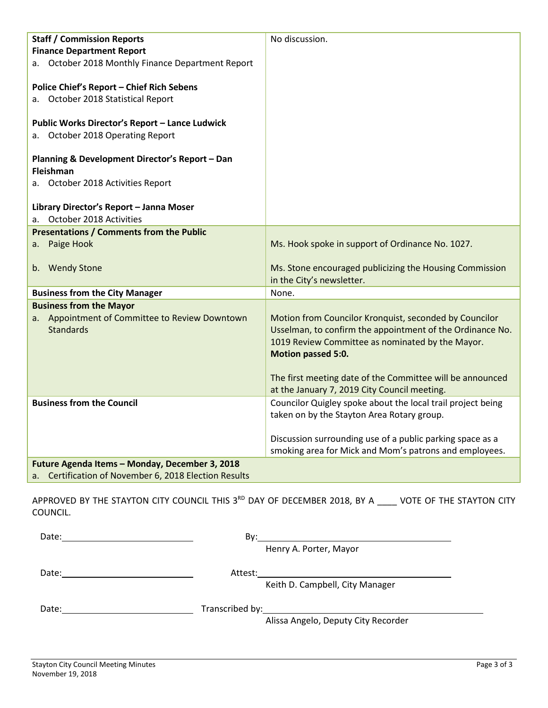| <b>Staff / Commission Reports</b>                                                     | No discussion.                                                         |
|---------------------------------------------------------------------------------------|------------------------------------------------------------------------|
| <b>Finance Department Report</b><br>a. October 2018 Monthly Finance Department Report |                                                                        |
|                                                                                       |                                                                        |
| <b>Police Chief's Report - Chief Rich Sebens</b>                                      |                                                                        |
| a. October 2018 Statistical Report                                                    |                                                                        |
| Public Works Director's Report - Lance Ludwick                                        |                                                                        |
| a. October 2018 Operating Report                                                      |                                                                        |
|                                                                                       |                                                                        |
| Planning & Development Director's Report - Dan<br>Fleishman                           |                                                                        |
| a. October 2018 Activities Report                                                     |                                                                        |
|                                                                                       |                                                                        |
| Library Director's Report - Janna Moser                                               |                                                                        |
| October 2018 Activities<br>а.                                                         |                                                                        |
| <b>Presentations / Comments from the Public</b>                                       |                                                                        |
| a. Paige Hook                                                                         | Ms. Hook spoke in support of Ordinance No. 1027.                       |
| b. Wendy Stone                                                                        | Ms. Stone encouraged publicizing the Housing Commission                |
|                                                                                       | in the City's newsletter.                                              |
| <b>Business from the City Manager</b>                                                 | None.                                                                  |
| <b>Business from the Mayor</b>                                                        |                                                                        |
| a. Appointment of Committee to Review Downtown                                        | Motion from Councilor Kronquist, seconded by Councilor                 |
| <b>Standards</b>                                                                      | Usselman, to confirm the appointment of the Ordinance No.              |
|                                                                                       | 1019 Review Committee as nominated by the Mayor.<br>Motion passed 5:0. |
|                                                                                       |                                                                        |
|                                                                                       | The first meeting date of the Committee will be announced              |
|                                                                                       | at the January 7, 2019 City Council meeting.                           |
| <b>Business from the Council</b>                                                      | Councilor Quigley spoke about the local trail project being            |
|                                                                                       | taken on by the Stayton Area Rotary group.                             |
|                                                                                       | Discussion surrounding use of a public parking space as a              |
|                                                                                       | smoking area for Mick and Mom's patrons and employees.                 |
| Future Agenda Items - Monday, December 3, 2018                                        |                                                                        |
| Certification of November 6, 2018 Election Results<br>a.                              |                                                                        |

APPROVED BY THE STAYTON CITY COUNCIL THIS 3RD DAY OF DECEMBER 2018, BY A \_\_\_\_ VOTE OF THE STAYTON CITY COUNCIL.

| Date: | By:     |                                                                                                                      |
|-------|---------|----------------------------------------------------------------------------------------------------------------------|
|       |         | Henry A. Porter, Mayor                                                                                               |
| Date: | Attest: | <u> 1980 - Jan Stein Stein Stein Stein Stein Stein Stein Stein Stein Stein Stein Stein Stein Stein Stein Stein S</u> |
|       |         | Keith D. Campbell, City Manager                                                                                      |
| Date: |         | Transcribed by: 1999 and 1999 and 1999 and 1999 and 1999 and 1999 and 1999 and 1999 and 1999 and 199                 |
|       |         | Alissa Angelo, Deputy City Recorder                                                                                  |
|       |         |                                                                                                                      |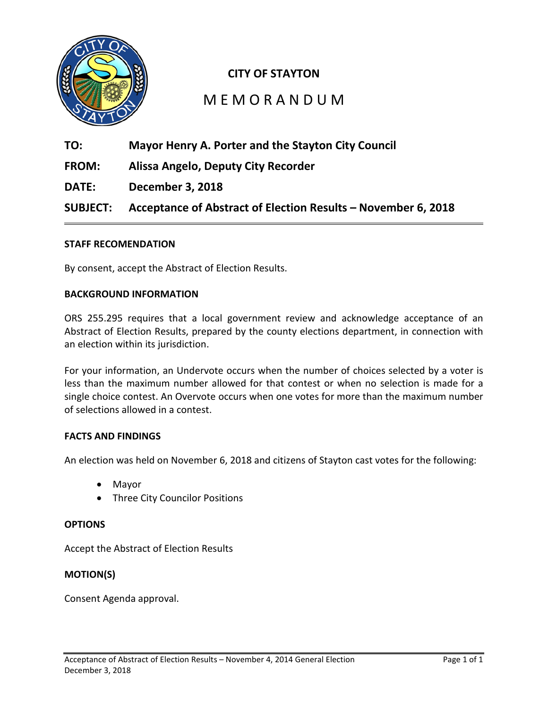

# **CITY OF STAYTON**

# M E M O R A N D U M

- **TO: Mayor Henry A. Porter and the Stayton City Council**
- **FROM: Alissa Angelo, Deputy City Recorder**
- **DATE: December 3, 2018**

**SUBJECT: Acceptance of Abstract of Election Results – November 6, 2018**

## **STAFF RECOMENDATION**

By consent, accept the Abstract of Election Results.

## **BACKGROUND INFORMATION**

ORS 255.295 requires that a local government review and acknowledge acceptance of an Abstract of Election Results, prepared by the county elections department, in connection with an election within its jurisdiction.

For your information, an Undervote occurs when the number of choices selected by a voter is less than the maximum number allowed for that contest or when no selection is made for a single choice contest. An Overvote occurs when one votes for more than the maximum number of selections allowed in a contest.

#### **FACTS AND FINDINGS**

An election was held on November 6, 2018 and citizens of Stayton cast votes for the following:

- Mayor
- Three City Councilor Positions

#### **OPTIONS**

Accept the Abstract of Election Results

## **MOTION(S)**

Consent Agenda approval.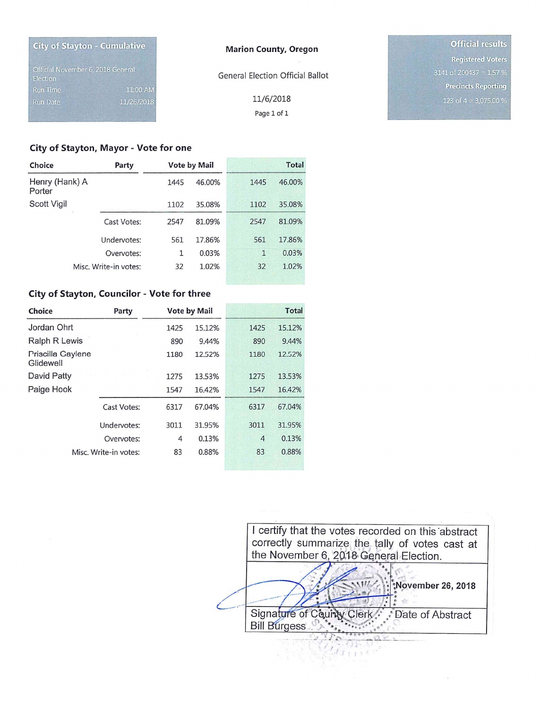| <b>City of Stayton - Cumulative</b>           |            | <b>Marion County, Oregon</b>            | <b>Official results</b>    |
|-----------------------------------------------|------------|-----------------------------------------|----------------------------|
|                                               |            |                                         | <b>Registered Voters</b>   |
| Official November 6, 2018 General<br>Election |            | <b>General Election Official Ballot</b> | $3141$ of 200437 = 1.57 %  |
| <b>Run Time</b>                               | 11:00 AM   |                                         | <b>Precincts Reporting</b> |
| <b>Run Date</b>                               | 11/26/2018 | 11/6/2018                               | 123 of $4 = 3,075.00$ %    |
|                                               |            | Page 1 of 1                             |                            |

# City of Stayton, Mayor - Vote for one

| Choice                   | Party                 |      | <b>Vote by Mail</b> |              | <b>Total</b> |
|--------------------------|-----------------------|------|---------------------|--------------|--------------|
| Henry (Hank) A<br>Porter |                       | 1445 | 46.00%              | 1445         | 46.00%       |
| Scott Vigil              |                       | 1102 | 35.08%              | 1102         | 35.08%       |
|                          | Cast Votes:           | 2547 | 81.09%              | 2547         | 81.09%       |
|                          | Undervotes:           | 561  | 17.86%              | 561          | 17.86%       |
|                          | Overvotes:            | 1    | 0.03%               | $\mathbf{1}$ | 0.03%        |
|                          | Misc. Write-in votes: | 32   | 1.02%               | 32           | 1.02%        |

#### City of Stayton, Councilor - Vote for three

| Choice                         | Party       |      | <b>Vote by Mail</b> |                | <b>Total</b> |
|--------------------------------|-------------|------|---------------------|----------------|--------------|
| Jordan Ohrt                    |             | 1425 | 15.12%              | 1425           | 15.12%       |
| Ralph R Lewis                  |             | 890  | 9.44%               | 890            | 9.44%        |
| Priscilla Gaylene<br>Glidewell |             | 1180 | 12.52%              | 1180           | 12.52%       |
| David Patty                    |             | 1275 | 13.53%              | 1275           | 13.53%       |
| Paige Hook                     |             | 1547 | 16.42%              | 1547           | 16.42%       |
|                                | Cast Votes: | 6317 | 67.04%              | 6317           | 67.04%       |
|                                | Undervotes: | 3011 | 31.95%              | 3011           | 31.95%       |
|                                | Overvotes:  | 4    | 0.13%               | $\overline{4}$ | 0.13%        |
| Misc. Write-in votes:          |             | 83   | 0.88%               | 83             | 0.88%        |



 $\alpha$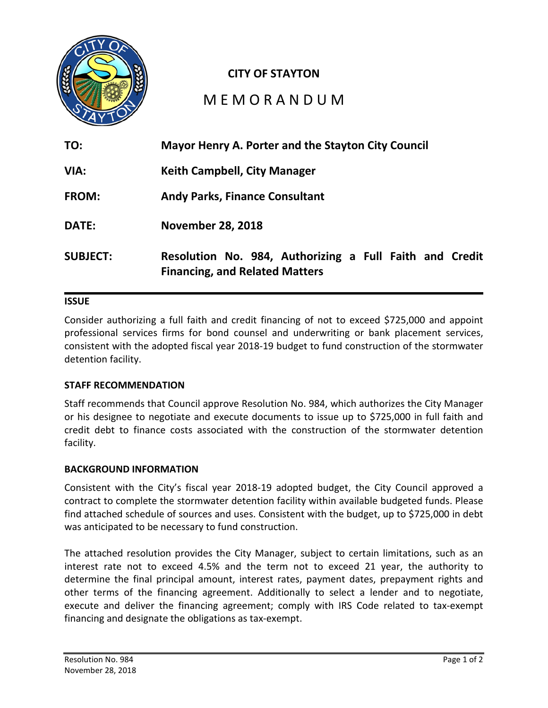

# **CITY OF STAYTON**

# M E M O R A N D U M

| TO:             | Mayor Henry A. Porter and the Stayton City Council                                               |  |
|-----------------|--------------------------------------------------------------------------------------------------|--|
| VIA:            | <b>Keith Campbell, City Manager</b>                                                              |  |
| <b>FROM:</b>    | <b>Andy Parks, Finance Consultant</b>                                                            |  |
| <b>DATE:</b>    | <b>November 28, 2018</b>                                                                         |  |
| <b>SUBJECT:</b> | Resolution No. 984, Authorizing a Full Faith and Credit<br><b>Financing, and Related Matters</b> |  |

# **ISSUE**

Consider authorizing a full faith and credit financing of not to exceed \$725,000 and appoint professional services firms for bond counsel and underwriting or bank placement services, consistent with the adopted fiscal year 2018-19 budget to fund construction of the stormwater detention facility.

## **STAFF RECOMMENDATION**

Staff recommends that Council approve Resolution No. 984, which authorizes the City Manager or his designee to negotiate and execute documents to issue up to \$725,000 in full faith and credit debt to finance costs associated with the construction of the stormwater detention facility.

## **BACKGROUND INFORMATION**

Consistent with the City's fiscal year 2018-19 adopted budget, the City Council approved a contract to complete the stormwater detention facility within available budgeted funds. Please find attached schedule of sources and uses. Consistent with the budget, up to \$725,000 in debt was anticipated to be necessary to fund construction.

The attached resolution provides the City Manager, subject to certain limitations, such as an interest rate not to exceed 4.5% and the term not to exceed 21 year, the authority to determine the final principal amount, interest rates, payment dates, prepayment rights and other terms of the financing agreement. Additionally to select a lender and to negotiate, execute and deliver the financing agreement; comply with IRS Code related to tax-exempt financing and designate the obligations as tax-exempt.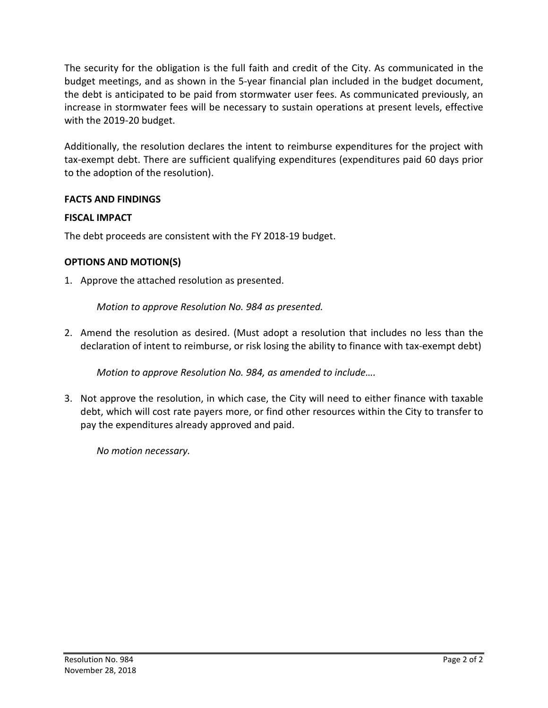The security for the obligation is the full faith and credit of the City. As communicated in the budget meetings, and as shown in the 5-year financial plan included in the budget document, the debt is anticipated to be paid from stormwater user fees. As communicated previously, an increase in stormwater fees will be necessary to sustain operations at present levels, effective with the 2019-20 budget.

Additionally, the resolution declares the intent to reimburse expenditures for the project with tax-exempt debt. There are sufficient qualifying expenditures (expenditures paid 60 days prior to the adoption of the resolution).

# **FACTS AND FINDINGS**

# **FISCAL IMPACT**

The debt proceeds are consistent with the FY 2018-19 budget.

# **OPTIONS AND MOTION(S)**

1. Approve the attached resolution as presented.

*Motion to approve Resolution No. 984 as presented.* 

2. Amend the resolution as desired. (Must adopt a resolution that includes no less than the declaration of intent to reimburse, or risk losing the ability to finance with tax-exempt debt)

*Motion to approve Resolution No. 984, as amended to include….*

3. Not approve the resolution, in which case, the City will need to either finance with taxable debt, which will cost rate payers more, or find other resources within the City to transfer to pay the expenditures already approved and paid.

*No motion necessary.*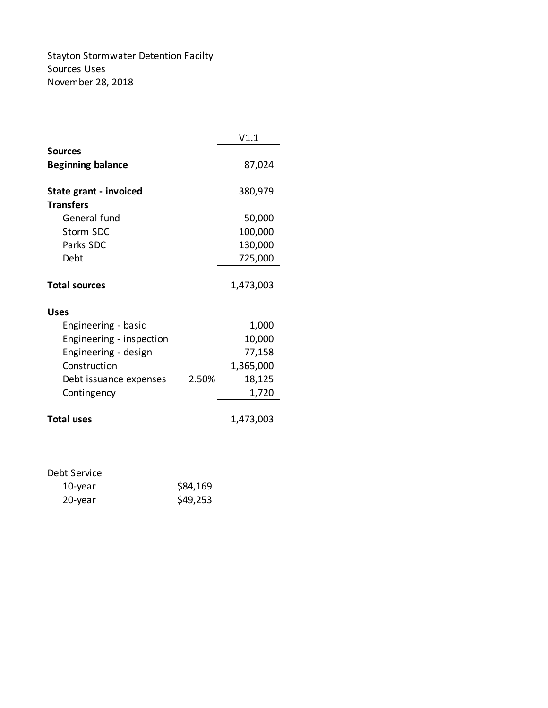Stayton Stormwater Detention Facilty Sources Uses November 28, 2018

|                                  |       | V1.1      |
|----------------------------------|-------|-----------|
| <b>Sources</b>                   |       |           |
| <b>Beginning balance</b>         |       | 87,024    |
| State grant - invoiced           |       | 380,979   |
| <b>Transfers</b><br>General fund |       |           |
|                                  |       | 50,000    |
| Storm SDC                        |       | 100,000   |
| Parks SDC                        |       | 130,000   |
| Debt                             |       | 725,000   |
|                                  |       |           |
| <b>Total sources</b>             |       | 1,473,003 |
| <b>Uses</b>                      |       |           |
| Engineering - basic              |       | 1,000     |
| Engineering - inspection         |       | 10,000    |
| Engineering - design             |       | 77,158    |
| Construction                     |       | 1,365,000 |
| Debt issuance expenses           | 2.50% | 18,125    |
| Contingency                      |       | 1,720     |
|                                  |       |           |
| <b>Total uses</b>                |       | 1,473,003 |
|                                  |       |           |

# Debt Service

| 10-year | \$84,169 |
|---------|----------|
| 20-year | \$49,253 |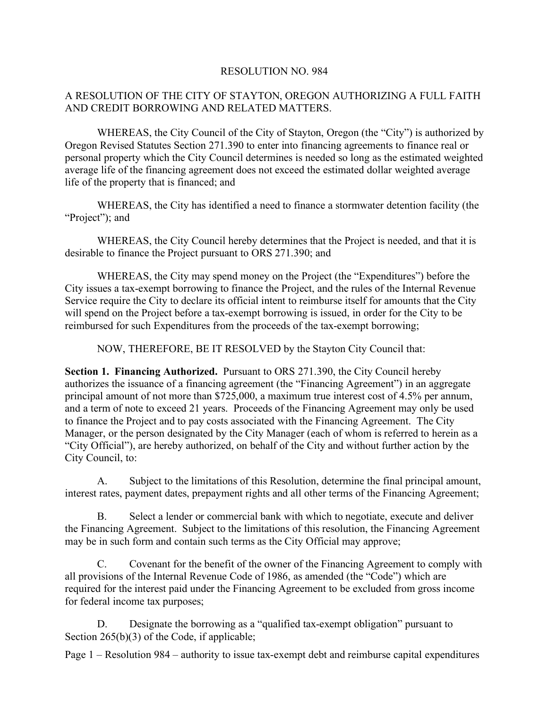# RESOLUTION NO. 984

# A RESOLUTION OF THE CITY OF STAYTON, OREGON AUTHORIZING A FULL FAITH AND CREDIT BORROWING AND RELATED MATTERS.

WHEREAS, the City Council of the City of Stayton, Oregon (the "City") is authorized by Oregon Revised Statutes Section 271.390 to enter into financing agreements to finance real or personal property which the City Council determines is needed so long as the estimated weighted average life of the financing agreement does not exceed the estimated dollar weighted average life of the property that is financed; and

WHEREAS, the City has identified a need to finance a stormwater detention facility (the "Project"); and

WHEREAS, the City Council hereby determines that the Project is needed, and that it is desirable to finance the Project pursuant to ORS 271.390; and

WHEREAS, the City may spend money on the Project (the "Expenditures") before the City issues a tax-exempt borrowing to finance the Project, and the rules of the Internal Revenue Service require the City to declare its official intent to reimburse itself for amounts that the City will spend on the Project before a tax-exempt borrowing is issued, in order for the City to be reimbursed for such Expenditures from the proceeds of the tax-exempt borrowing;

NOW, THEREFORE, BE IT RESOLVED by the Stayton City Council that:

**Section 1. Financing Authorized.** Pursuant to ORS 271.390, the City Council hereby authorizes the issuance of a financing agreement (the "Financing Agreement") in an aggregate principal amount of not more than \$725,000, a maximum true interest cost of 4.5% per annum, and a term of note to exceed 21 years. Proceeds of the Financing Agreement may only be used to finance the Project and to pay costs associated with the Financing Agreement. The City Manager, or the person designated by the City Manager (each of whom is referred to herein as a "City Official"), are hereby authorized, on behalf of the City and without further action by the City Council, to:

A. Subject to the limitations of this Resolution, determine the final principal amount, interest rates, payment dates, prepayment rights and all other terms of the Financing Agreement;

B. Select a lender or commercial bank with which to negotiate, execute and deliver the Financing Agreement. Subject to the limitations of this resolution, the Financing Agreement may be in such form and contain such terms as the City Official may approve;

C. Covenant for the benefit of the owner of the Financing Agreement to comply with all provisions of the Internal Revenue Code of 1986, as amended (the "Code") which are required for the interest paid under the Financing Agreement to be excluded from gross income for federal income tax purposes;

D. Designate the borrowing as a "qualified tax-exempt obligation" pursuant to Section 265(b)(3) of the Code, if applicable;

Page 1 – Resolution 984 – authority to issue tax-exempt debt and reimburse capital expenditures